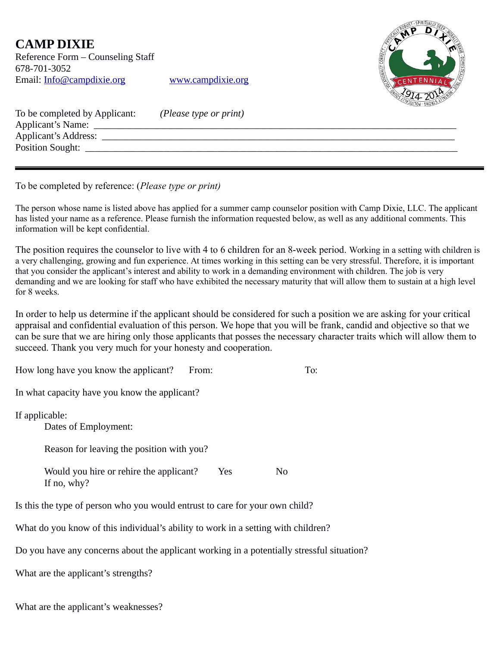## **CAMP DIXIE**

Reference Form – Counseling Staff 678-701-3052 Email: [Info@campdixie.org](mailto:Info@campdixie.org) [www.campdixie.org](http://www.campdixie.org/)



| To be completed by Applicant: | (Please type or print) |
|-------------------------------|------------------------|
| Applicant's Name:             |                        |
| <b>Applicant's Address:</b>   |                        |
| <b>Position Sought:</b>       |                        |
|                               |                        |

To be completed by reference: (*Please type or print)*

The person whose name is listed above has applied for a summer camp counselor position with Camp Dixie, LLC. The applicant has listed your name as a reference. Please furnish the information requested below, as well as any additional comments. This information will be kept confidential.

The position requires the counselor to live with 4 to 6 children for an 8-week period. Working in a setting with children is a very challenging, growing and fun experience. At times working in this setting can be very stressful. Therefore, it is important that you consider the applicant's interest and ability to work in a demanding environment with children. The job is very demanding and we are looking for staff who have exhibited the necessary maturity that will allow them to sustain at a high level for 8 weeks.

In order to help us determine if the applicant should be considered for such a position we are asking for your critical appraisal and confidential evaluation of this person. We hope that you will be frank, candid and objective so that we can be sure that we are hiring only those applicants that posses the necessary character traits which will allow them to succeed. Thank you very much for your honesty and cooperation.

| How long have you know the applicant?                                                      | From: | To: |
|--------------------------------------------------------------------------------------------|-------|-----|
| In what capacity have you know the applicant?                                              |       |     |
| If applicable:<br>Dates of Employment:                                                     |       |     |
| Reason for leaving the position with you?                                                  |       |     |
| Would you hire or rehire the applicant?<br>If no, why?                                     | Yes   | No  |
| Is this the type of person who you would entrust to care for your own child?               |       |     |
| What do you know of this individual's ability to work in a setting with children?          |       |     |
| Do you have any concerns about the applicant working in a potentially stressful situation? |       |     |
|                                                                                            |       |     |

What are the applicant's strengths?

What are the applicant's weaknesses?